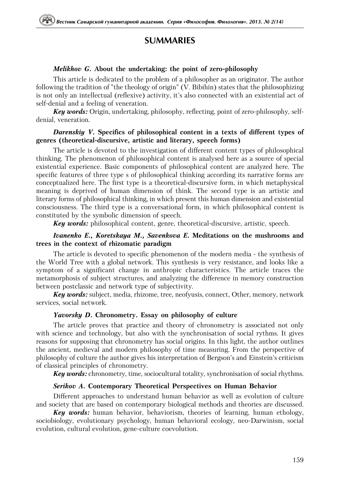# **SUMMARIES**

## *Melikhov G.* About the undertaking: the point of zero-philosophy

This article is dedicated to the problem of a philosopher as an originator. The author following the tradition of "the theology of origin" (V. Bibihin) states that the philosophizing is not only an intellectual (reflexive) activity, it's also connected with an existential act of self-denial and a feeling of veneration.

*Key words:* Origin, undertaking, philosophy, reflecting, point of zero-philosophy, selfdenial, veneration.

#### *Darenskiy V.* Specifics of philosophical content in a texts of different types of genres (theoretical-discursive, artistic and literary, speech forms)

The article is devoted to the investigation of different content types of philosophical thinking. The phenomenon of philosophical content is analysed here as a source of special existential experience. Basic components of philosophical content are analyzed here. The specific features of three type s of philosophical thinking according its narrative forms are conceptualized here. The first type is a theoretical-discursive form, in which metaphysical meaning is deprived of human dimension of think. The second type is an artistic and literary forms of philosophical thinking, in which present this human dimension and existential consciousness. The third type is a conversational form, in which philosophical content is constituted by the symbolic dimension of speech.

*Key words:* philosophical content, genre, theoretical-discursive, artistic, speech.

## *Ivanenko E., Koretskaya M., Savenkova E.* Meditations on the mushrooms and trees in the context of rhizomatic paradigm

The article is devoted to specific phenomenon of the modern media - the synthesis of the World Tree with a global network. This synthesis is very resistance, and looks like a symptom of a significant change in anthropic characteristics. The article traces the metamorphosis of subject structures, and analyzing the difference in memory construction between postclassic and network type of subjectivity.

*Key words:* subject, media, rhizome, tree, neofyusis, connect, Other, memory, network services, social network.

#### *Yavorsky D.* Chronometry. Essay on philosophy of culture

The article proves that practice and theory of chronometry is associated not only with science and technology, but also with the synchronisation of social rythms. It gives reasons for supposing that chronometry has social origins. In this light, the author outlines the ancient, medieval and modern philosophy of time measuring. From the perspective of philosophy of culture the author gives his interpretation of Bergson's and Einstein's criticism of classical principles of chronometry.

*Key words:* chronometry, time, sociocultural totality, synchronisation of social rhythms.

#### *Serikov A.* Contemporary Theoretical Perspectives on Human Behavior

Different approaches to understand human behavior as well as evolution of culture and society that are based on contemporary biological methods and theories are discussed.

*Key words:* human behavior, behaviorism, theories of learning, human ethology, sociobiology, evolutionary psychology, human behavioral ecology, neo-Darwinism, social evolution, cultural evolution, gene-culture coevolution.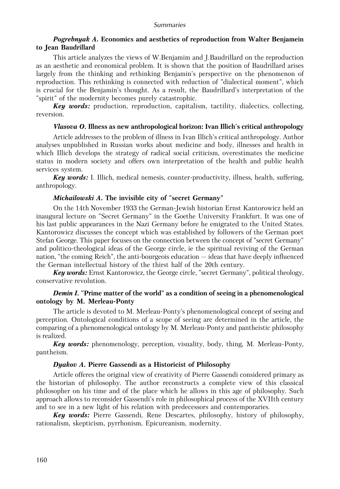# *Pogrebnyak A.* Economics and aesthetics of reproduction from Walter Benjamein to Jean Baudrillard

This article analyzes the views of W.Benjamim and J.Baudrillard on the reproduction as an aesthetic and economical problem. It is shown that the position of Baudrillard arises largely from the thinking and rethinking Benjamin's perspective on the phenomenon of reproduction. This rethinking is connected with reduction of "dialectical moment", which is crucial for the Benjamin's thought. As a result, the Baudrillard's interpretation of the "spirit" of the modernity becomes purely catastrophic.

**Key words:** production, reproduction, capitalism, tactility, dialectics, collecting, reversion.

#### *Vlasova O.* Illness as new anthropological horizon: Ivan Illich's critical anthropology

Article addresses to the problem of illness in Ivan Illich's critical anthropology. Author analyses unpublished in Russian works about medicine and body, illnesses and health in which Illich develops the strategy of radical social criticism, overestimates the medicine status in modern society and offers own interpretation of the health and public health services system.

*Key words:* I. Illich, medical nemesis, counter-productivity, illness, health, suffering, anthropology.

## *Michailowski A.* The invisible city of "secret Germany"

On the 14th November 1933 the German-Jewish historian Ernst Kantorowicz held an inaugural lecture on "Secret Germany" in the Goethe University Frankfurt. It was one of his last public appearances in the Nazi Germany before he emigrated to the United States. Kantorowicz discusses the concept which was established by followers of the German poet Stefan George. This paper focuses on the connection between the concept of "secret Germany" and politico-theological ideas of the George circle, ie the spiritual reviving of the German nation, "the coming Reich", the anti-bourgeois education — ideas that have deeply influenced the German intellectual history of the thirst half of the 20th century.

*Key words:* Ernst Kantorowicz, the George circle, "secret Germany", political theology, conservative revolution.

## *Demin I.* "Prime matter of the world" as a condition of seeing in a phenomenological ontology by M. Merleau-Ponty

The article is devoted to M. Merleau-Ponty's phenomenological concept of seeing and perception. Ontological conditions of a scope of seeing are determined in the article, the comparing of a phenomenological ontology by M. Merleau-Ponty and pantheistic philosophy is realized.

*Key words:* phenomenology, perception, visuality, body, thing, M. Merleau-Ponty, pantheism.

## *Dyakov A.* Pierre Gassendi as a Historicist of Philosophy

Article offeres the original view of creativity of Pierre Gassendi considered primary as the historian of philosophy. The author reconstructs a complete view of this classical philosopher on his time and of the place which he allows in this age of philosophy. Such approach allows to reconsider Gassendi's role in philosophical process of the XVIIth century and to see in a new light of his relation with predecessors and contemporaries.

*Key words:* Pierre Gassendi, Rene Descartes, philosophy, history of philosophy, rationalism, skepticism, pyrrhonism, Epicureanism, modernity.